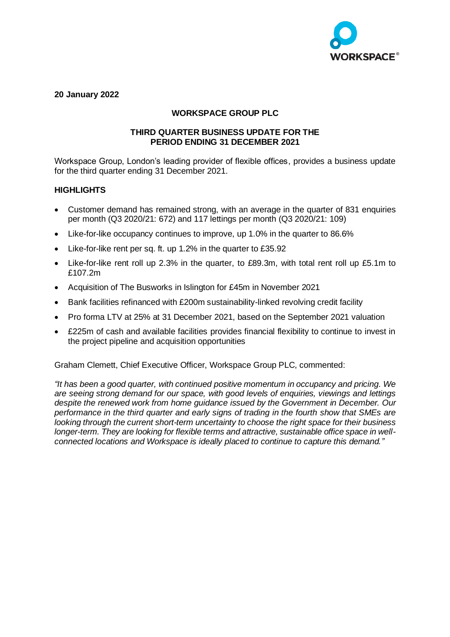

# **20 January 2022**

# **WORKSPACE GROUP PLC**

## **THIRD QUARTER BUSINESS UPDATE FOR THE PERIOD ENDING 31 DECEMBER 2021**

Workspace Group, London's leading provider of flexible offices, provides a business update for the third quarter ending 31 December 2021.

## **HIGHLIGHTS**

- Customer demand has remained strong, with an average in the quarter of 831 enquiries per month (Q3 2020/21: 672) and 117 lettings per month (Q3 2020/21: 109)
- Like-for-like occupancy continues to improve, up 1.0% in the quarter to 86.6%
- Like-for-like rent per sq. ft. up 1.2% in the quarter to £35.92
- Like-for-like rent roll up 2.3% in the quarter, to £89.3m, with total rent roll up £5.1m to £107.2m
- Acquisition of The Busworks in Islington for £45m in November 2021
- Bank facilities refinanced with £200m sustainability-linked revolving credit facility
- Pro forma LTV at 25% at 31 December 2021, based on the September 2021 valuation
- £225m of cash and available facilities provides financial flexibility to continue to invest in the project pipeline and acquisition opportunities

Graham Clemett, Chief Executive Officer, Workspace Group PLC, commented:

*"It has been a good quarter, with continued positive momentum in occupancy and pricing. We are seeing strong demand for our space, with good levels of enquiries, viewings and lettings despite the renewed work from home guidance issued by the Government in December. Our performance in the third quarter and early signs of trading in the fourth show that SMEs are looking through the current short-term uncertainty to choose the right space for their business longer-term. They are looking for flexible terms and attractive, sustainable office space in wellconnected locations and Workspace is ideally placed to continue to capture this demand."*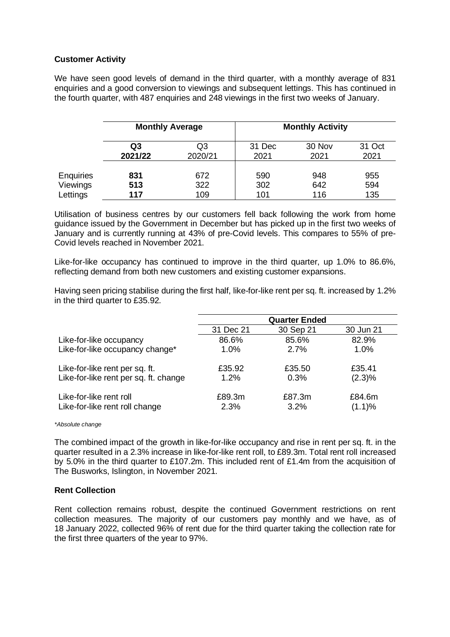## **Customer Activity**

We have seen good levels of demand in the third quarter, with a monthly average of 831 enquiries and a good conversion to viewings and subsequent lettings. This has continued in the fourth quarter, with 487 enquiries and 248 viewings in the first two weeks of January.

|                  | <b>Monthly Average</b> |         | <b>Monthly Activity</b> |        |        |
|------------------|------------------------|---------|-------------------------|--------|--------|
|                  | Q3                     | Q3      | 31 Dec                  | 30 Nov | 31 Oct |
|                  | 2021/22                | 2020/21 | 2021                    | 2021   | 2021   |
| <b>Enquiries</b> | 831                    | 672     | 590                     | 948    | 955    |
| Viewings         | 513                    | 322     | 302                     | 642    | 594    |
| Lettings         | 117                    | 109     | 101                     | 116    | 135    |

Utilisation of business centres by our customers fell back following the work from home guidance issued by the Government in December but has picked up in the first two weeks of January and is currently running at 43% of pre-Covid levels. This compares to 55% of pre-Covid levels reached in November 2021.

Like-for-like occupancy has continued to improve in the third quarter, up 1.0% to 86.6%, reflecting demand from both new customers and existing customer expansions.

Having seen pricing stabilise during the first half, like-for-like rent per sq. ft. increased by 1.2% in the third quarter to £35.92.

|                                       |           | <b>Quarter Ended</b> |           |
|---------------------------------------|-----------|----------------------|-----------|
|                                       | 31 Dec 21 | 30 Sep 21            | 30 Jun 21 |
| Like-for-like occupancy               | 86.6%     | 85.6%                | 82.9%     |
| Like-for-like occupancy change*       | 1.0%      | 2.7%                 | 1.0%      |
| Like-for-like rent per sq. ft.        | £35.92    | £35.50               | £35.41    |
| Like-for-like rent per sq. ft. change | 1.2%      | 0.3%                 | $(2.3)\%$ |
| Like-for-like rent roll               | £89.3m    | £87.3m               | £84.6m    |
| Like-for-like rent roll change        | 2.3%      | 3.2%                 | (1.1)%    |

#### *\*Absolute change*

The combined impact of the growth in like-for-like occupancy and rise in rent per sq. ft. in the quarter resulted in a 2.3% increase in like-for-like rent roll, to £89.3m. Total rent roll increased by 5.0% in the third quarter to £107.2m. This included rent of £1.4m from the acquisition of The Busworks, Islington, in November 2021.

### **Rent Collection**

Rent collection remains robust, despite the continued Government restrictions on rent collection measures. The majority of our customers pay monthly and we have, as of 18 January 2022, collected 96% of rent due for the third quarter taking the collection rate for the first three quarters of the year to 97%.